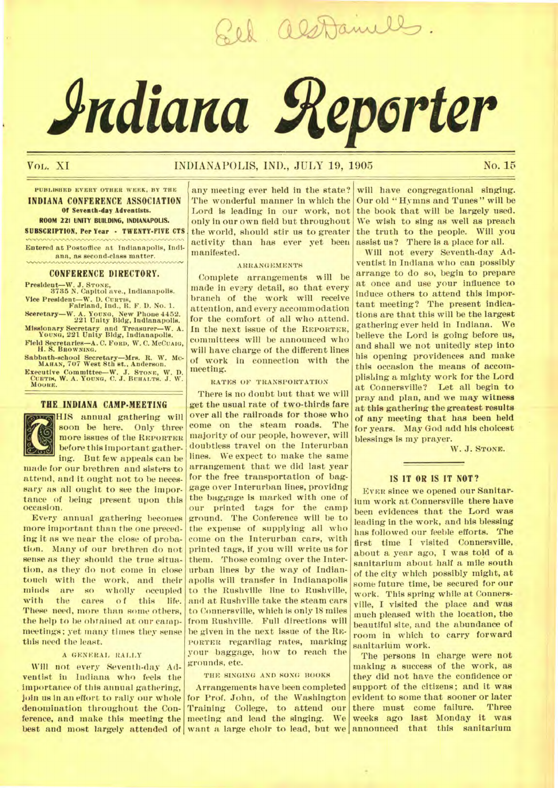Sel als Daniells.

# *Adiana Reporter*

# Vol. XI INDIANAPOLIS, IND., JULY 19, 1905 No. 15

## **PUBLISHED EVERY OTHER WEEK, BY THE INDIANA CONFERENCE ASSOCIATION Of Seventk-day Adventists. ROOM 221 UNITY BUILDING, INDIANAPOLIS. SUBSCRIPTION, Per Year • TWENTY-FIVE CTS**

**Entered at Postoffice at Indianapolis, Indiana, as second-class matter.** 

#### **CONFERENCE DIRECTORY.**

**President—W. J. STONE, 8785 N. Capitol ave., Indianapolis.** 

**Vice President—W. D. CURTIS, Fairland, Ind., R. F. D. No. 1. Sceretary—W. A. YOUNG, New Phone 4452. 221 Unity Bldg, Indianapolis.** 

**Missionary Secretary and Treasurer—W. A. YOUNG, 221 Unity Bldg, Indianapolis.** 

**Field Secretaries—A. C. FORD, W. C. MCCUAIG, H. S. BROWNING.** 

**Sabbath-school Secretary—Mrs. It. W. Mc-MAHAN, 707 West 8th at.. Anderson.** 

**Executive Committee—W. J. STONE, W. D. CURTIN, W. A. YOUNG, C. J. BUHALTB. J. W.**  MOORE.

#### **THE INDIANA CAMP-MEETING**



HIS annual gathering will soon be here. Only three more issues of the **REPORTER**  before this important gathering. But few appeals can be

made for our brethren and sisters to attend, and it ought not to be necessary as all ought to see the importance of being present upon this occasion.

Every annual gathering becomes more important than the one preceding it as we near the close of probation. Many of our brethren do not sense as they should the true situation, as they do not come in close touch with the work, and their<br>minds are so wholly occupied so wholly occupied<br>cares of this life. with the cares of this life. These need, more than some others, the help to be obtained at our campmeetings; yet many times they sense this need the least.

#### **A GENERAL RALLY**

Will not *every* Seventh-day Adventist in Indiana who feels the importance of this annual gathering, join us in an effort to rally our whole denomination throughout the Conference, and make this meeting the any meeting ever held in the state? The wonderful manner in which the Lord is leading in our work, not only in our own field but throughout the world, should stir us to greater activity than has ever yet been manifested.

### **ARRANGEMENTS**

Complete arrangements will be made in every detail, so that every branch of the work will receive attention, and every accommodation for the comfort of all who attend. In the next issue of the **REPORTER**, committees will be announced who will have charge of the different lines of work in connection with the meeting.

**RATES OF TRANSPORTATION** 

There is no doubt but that we will get the usual rate of two-thirds fare over all the railroads for those who come on the steam roads. The majority of our people, however, will doubtless travel on the Interurban lines. We expect to make the same arrangement that we did last year for the free transportation of baggage over Interurban lines, providng the baggage **is** marked with one of our printed tags for the camp ground. The Conference will be to the expense of supplying all who come on the Interurban cars, with printed tags, if you will write us for them. Those coming over the Interurban lines by the way of Indianapolis will transfer in Indianapolis to the Rushville line to Rushville, and at Rushville take the steam cars to Connersville, which is only 18 miles from Rushville. Full directions will he given in the next issue of the **RE-PORTER** regarding rates, marking your baggage, how to reach the grounds, etc.

#### THE SINGING AND SONG BOOKS

best and most largely attended of want a large choir to lead, but we announced that this sanitarium Arrangements have been completed for Prof. John, of the Washington Training College, to attend our meeting and lead the singing. We

will have congregational singing. Our old "Hymns and Tunes" will be the book that will be largely used. We wish to sing as well as preach the truth to the people. Will you assist us? There is a place for all.

Will not every Seventh-day Adventist in Indiana who can possibly arrange to do so, begin to prepare at once and use your influence to induce others to attend this important meeting? The present indications are that this will be the largest gathering ever held in Indiana. We believe the Lord is going before us, and shall we not unitedly step into his opening providences and make this occasion the means of accomplishing a mighty work for the Lord at Connersville? Let all begin to pray and plan, and we may witness at this gathering the greatest results of any meeting that has been held for years. May God add his choicest blessings is my prayer.

W. J. **STONE.** 

#### **IS IT OR IS IT NOT?**

**EVER** since we opened our Sanitarium work at Connersville there have been evidences that the Lord was leading in the work, and his blessing has followed our feeble efforts. The first time I visited Connersville, about a year ago, I was told of a sanitarium about half a mile south of the city which possibly might, at some future time, be secured for our work. This spring while at Connersville, I visited the place and was much pleased with the location, the beautiful site, and the abundance of room in which to carry forward sanitarium work.

The persons in charge were not making a success of the work, as they did not have the confidence or support of the citizens; and it was evident to some that sooner or later<br>there must come failure. Three there must come failure. weeks ago last Monday it was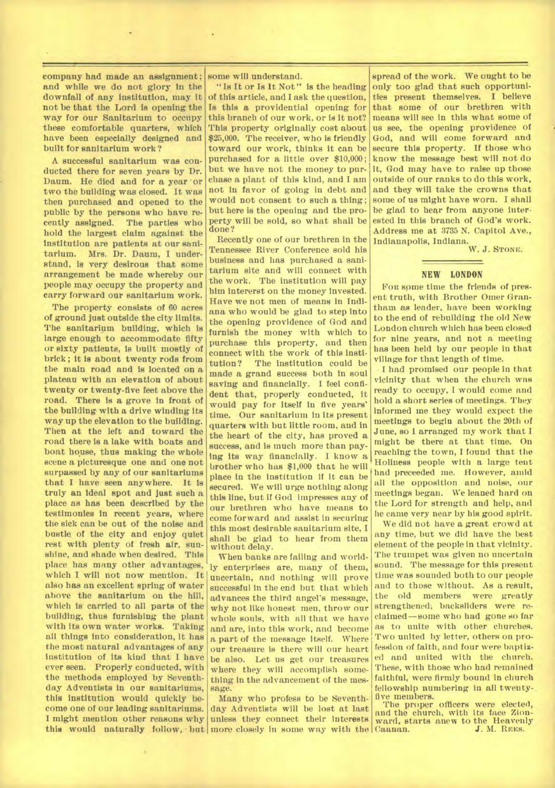company had made an assignment ; and while we do not glory in the downfall of any institution, may it not be that the Lord is opening the way for our Sanitarium to occupy these comfortable quarters, which have been especially designed and built for sanitarium work?

A successful sanitarium was conducted there for seven years by Dr. Daum. He died and for a year or two the building was closed. It was then purchased and opened to the public by the persons who have recently assigned. The parties who hold the largest claim against the institution are patients at our sanitarium. Mrs. Dr. Daum, I understand, is very desirous that some arrangement be made whereby our people may occupy the property and carry forward our sanitarium work.

The property consists of 60 acres of ground just outside the city limits. The sanitarium building, which is large enough to accommodate fifty or sixty patients, is built mostly of brick ; it is about twenty rods from the main road and is located on a plateau with an elevation of about twenty or twenty-five feet above the road. There is a grove in front of the building with a drive winding its way up the elevation to the building. Then at the left and toward the road there is a lake with boats and boat house, thus making the whole scene a picturesque one and one not surpassed by any of our sanitariums that I have seen anywhere. It is truly an ideal spot and just such a place as has been described by the testimonies in recent years, where the sick can be out of the noise and bustle of the city and enjoy quiet rest with plenty of fresh air, sunshine, and shade when desired. This place has many other advantages, which I will not now mention. It also has an excellent spring of water above the sanitarium on the hill, which is carried to all parts of the building, thus furnishing the plant with its own water works. Taking all things into consideration, it has the most natural advantages of any institution of its kind that I have ever seen. Properly conducted, with the methods employed by Seventhday Adventists in our sanitariums, this institution would quickly become one of our leading sanitariums. I might mention other reasons why this would naturally follow, but more closely in some way with the

some will understand.

"Is It or Is It Not" is the heading of this article, and I ask the question, Is this a providential opening for this branch of our work, or is it not? This property originally cost about \$25,000. The receiver, who is friendly toward our work, thinks it can be purchased for a little over \$10,000; but we have not the money to purchase a plant of this kind, and I am not in favor of going in debt and would not consent to such a thing; but here is the opening and the property will be sold, so what shall be done?

Recently one of our brethren in the Tennessee River Conference sold his business and has purchased a sanitarium site and will connect with the work. The institution will pay him intererst on the money invested. Have we not men of means in Indiana who would be glad to step into the opening providence of God and furnish the money with which to purchase this property, and then connect with the work of this institution? The institution could be made a grand success both in soul saving and financially. I feel confident that, properly conducted, it would pay for itself in five years' time. Our sanitarium in its present quarters with but little room, and in the heart of the city, has proved a success, and is much more than paying its way financially. I know a brother who has \$1,000 that he will place in the institution if it can be secured. We will urge nothing along this line, but if God impresses any of our brethren who have means to come forward and assist in securing this most desirable sanitarium site, I shall be glad to hear from them without delay.

When banks are failing and worldly enterprises are, many of them, uncertain, and nothing will prove successful in the end but that which advances the third angel's message, why not like honest men, throw our whole souls, with all that we have and are, into this work, and become a part of the message itself. Where our treasure is there will our heart be also. Let us get our treasures where they will accomplish something in the advancement of the message.

Many who profess to be Seventhday Adventists will be lost at last unless they connect their interests

spread of the work. We ought to be only too glad that such opportunities present themselves. I believe that some of our brethren with means will see in this what some of us see, the opening providence of God, and will come forward and secure this property. If those who know the message best will not do it, God may have to raise up those outside of our ranks to do this work, and they will take the crowns that some of us might have worn. I shall be glad to hear from anyone interested in this branch of God's work. Address me at 3735 N. Capitol Ave., Indianapolis, Indiana.

W. J. STONE.

#### **NEW LONDON**

FOR some time the friends of present truth, with Brother Omer Grantham as leader, have been working to the end of rebuilding the old New London church which has been closed for nine years, and not a meeting has been held by our people in that village for that length of time.

• I had promised our people in that vicinity that when the church was ready to occupy, I would come and hold a short series of meetings. They informed me they would expect the meetings to begin about the 20th of June, so I arranged my work that I might be there at that time. On reaching the town, I found that the Holiness people with a large tent had preceeded me. However, amid all the opposition and noise, our meetings began. We leaned hard on the Lord for strength and help, and he came very near by his good spirit.

We did not have a great crowd at any time, but we did have the best element of the people in that vicinity. The trumpet was given no uncertain sound. The message for this present time was sounded both to our people and to those without. As a result,<br>the old members were greatly were greatly strengthened; backsliders were reclaimed —some who had gone so far as to unite with other churches. Two united by letter, others on profession of faith, and four were baptized and united with the church. These, with those who had remained faithful, were firmly bound in church fellowship numbering in all twenty-. five members.

The proper officers were elected, and the church, with its face Zionward, starts anew to the Heavenly Caanan.<br>J. M. REES. J. M. REES.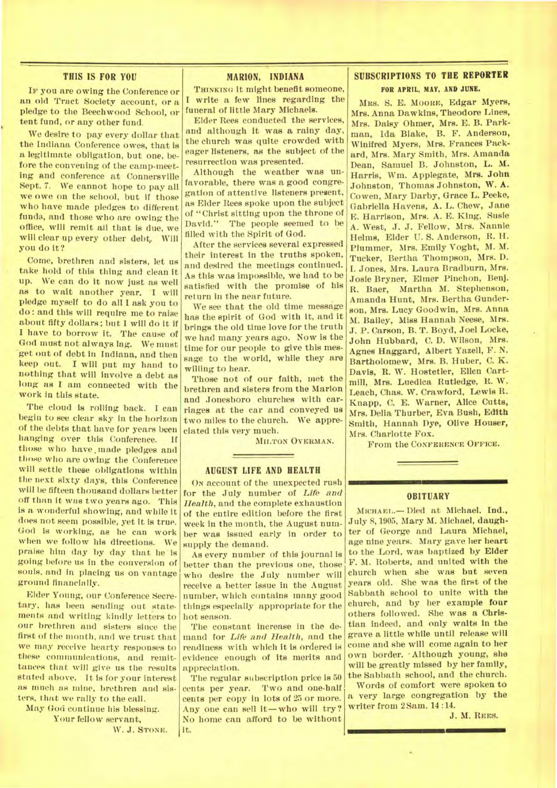#### **THIS IS FOR YOU**

IF you are owing the Conference or an old Tract Society account, or a pledge to the Beechwood School, or tent fund, or any other fund.

We desire to pay every dollar that the Indiana Conference owes, that is a legitimate obligation, but one, before the convening of the camp-meeting and conference at Connersville Sept. 7. We cannot hope to pay all we owe on the school, but if those who have made pledges to different funds, and those who are owing the office, will remit all that is due, we will clear up every other debt, Will you do it?

Come, brethren and sisters, let us take hold of this thing and clean it up. We can do it now just as well as to wait another year. 'I will pledge myself to do all I ask you to do : and this will require me to raise about fifty dollars; but I will do it if I have to borrow it. The cause of God must not always lag. We must 'get out of debt in Indiana, and then keep out. I will put my hand to nothing that will involve a debt as long as I am connected with the work in this state.

The cloud is rolling back. I can begin to see clear sky in the horizon of the debts that have for years been hanging over this Conference. if those who have, made pledges and those who are owing the Conference will settle these obligations within the next sixty days, this Conference will be fifteen thousand dollars better off than it was two years ago. This is a wonderful showing, and while it does not seem possible, yet it is true. God is working, as he can work when we follow his directions. We praise hint *day by* day that he is going before us in the conversion of souls, and in placing us on vantage ground financially.

Elder Young, our Conference Secretary, has been sending out statements and writing kindly letters to our brethren and sisters since the first of the month, and we trust that we may receive hearty responses to these communications, and remittances that will give us the results stated above. It is for your interest as much as mine, brethren and sisters, that we rally to the call.

May God continue his blessing. Your fellow servant,

W. J. STONE.

# **MARION, INDIANA**

**THINKING** it might benefit someone, write a few lines regarding the funeral of little Mary Michaels.

Elder Rees conducted the services, and although it was a rainy day, the church was quite crowded with eager listeners, as the subject of the resurrection was presented.

Although the weather was unfavorable, there was a good congregation of attentive listeners present, as Elder Rees spoke upon the subject of "Christ sitting upon the throne of David." The people seemed to be filled with the Spirit of God.

After the services several expressed their interest in the truths spoken, and desired the meetings continued. As this was impossible, we had to be satisfied with the promise of his return in the near future.

We see that the old time message has the spirit of God with it, and it brings the old time love for the truth we had many years ago. Now is the time for our people to give this message to the world, while they are willing to hear.

Those not of our faith, met the brethren and sisters from the Marion and Jonesboro churches with carriages at the car and conveyed us two miles to the church. We appreciated this very much.

**MILTON OVERMAN.** 

#### **AUGUST LIFE AND HEALTH**

**ON** account of the unexpected rush for the July number of *Life and Health,* and the complete exhaustion of the entire edition before the first week in the month, the August number was issued early in order to supply the demand.

As every number of this journal is better than the previous one, those who desire the July number will receive a better issue in the August number, which contains many good things especially appropriate for the hot season.

The constant increase in the demand for *Life and Health,* and the readiness with which it is ordered is evidence enough of its merits and appreciation.

The regular subscription price is 50 cents per year. Two and one-half cents per copy in lots of 25 or more. Any one can sell it—who will try? No home can afford to be without it.

# **SUBSCRIPTIONS TO THE REPORTER FOR APRIL, MAY. AND JUNE.**

MRS. S. E. MOORE, Edgar Myers, Mrs. Anna Dawkins, Theodore Lines, Mrs. Daisy Ohmer, Mrs. E. B. Parkman, Ida Blake, B. F. Anderson, Winifred Myers, Mrs. Frances Packard, Mrs. Mary Smith, Mrs. Amanda Dean, Samuel B. Johnston, L. M. Harris, Wm. Applegate, Mrs. John Johnston, Thomas Johnston, W. A. Cowen, Mary Darby, Grace L. Peeke, Gabriella Havens, A. L. Chew, Jane E. Harrison, Mrs. A. E. King, Susie A. West, J. J. Fellow, Mrs. Nannie Helms, Elder U. S. Anderson, R. H. Plummer, Mrs. Emily Voght, M. M. Tucker, Bertha Thompson, Mrs. D. I. Jones, Mrs. Laura Bradburn, Mrs. Josie Bryner, Elmer Pinchon, Benj. R. Baer, Martha M. Stephenson, Amanda Hunt, Mrs. Bertha Gunderson, Mrs. Lucy Goodwin, Mrs. Anna M. Bailey, Miss Hannah Neese, Mrs. J. P. Carson, B. T. Boyd, Joel Locke, John Hubbard, C. D. Wilson, Mrs. Agnes Haggard, Albert Yazell, F. N. Bartholomew, Mrs. B. Huber, C. K. Davis, R. W. Hostetler, Ellen Cartmill, Mrs. Luedica Rutledge, R. W. Leach, Chas. W. Crawford, Lewis R. Knapp, C. E. Warner, Alice Cutts, Mrs. Delia Thurber, Eva Bush, Edith Smith, Hannah Dye, Olive Houser, Mrs. Charlotte Fox.

From the **CONFERENCE OFFICE.** 

#### OBITUARY

**MICHAEL.—** Died at Michael, Ind., July 8, 1905, Mary M. Michael, daughter of George and Laura Michael, age nine years. Mary gave her heart to the Lord, was baptized by Elder F. M. Roberts, and united with the church when she was but seven years old. She was the first of the Sabbath school to unite with the church, and by her example four others followed. She was a Christian indeed, and only waits in the grave a little while until release will come and she will come again to her own border. -Although young, *she*  will be greatly missed by her family, the Sabbath school, and the church.

Words of comfort were spoken to a very large congregation by the writer from 2 Sam. 14 :14.

J. M. **REES.**